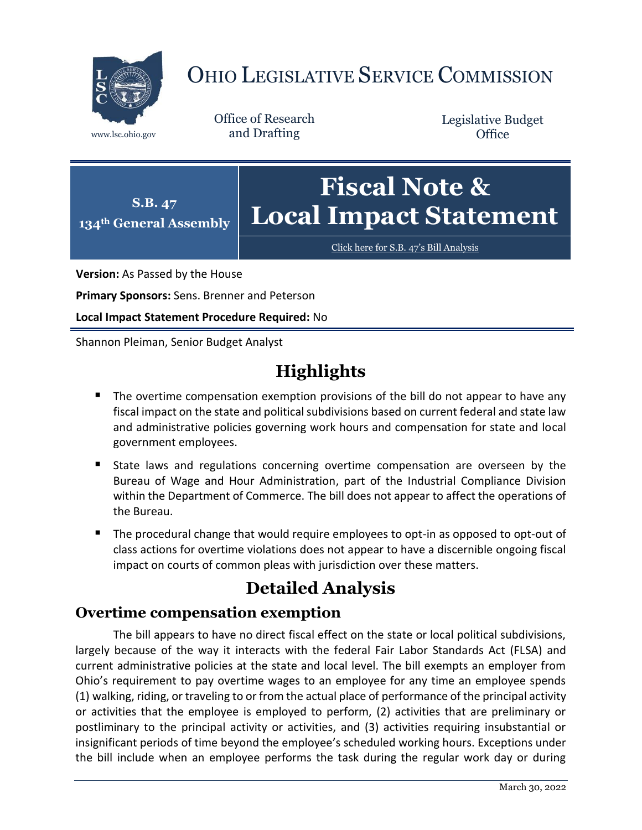

# OHIO LEGISLATIVE SERVICE COMMISSION

Office of Research www.lsc.ohio.gov and Drafting

Legislative Budget **Office** 



[Click here for S.B. 47](https://www.legislature.ohio.gov/legislation/legislation-documents?id=GA134-SB-47)'s Bill Analysis

**Version:** As Passed by the House

**Primary Sponsors:** Sens. Brenner and Peterson

**Local Impact Statement Procedure Required:** No

Shannon Pleiman, Senior Budget Analyst

## **Highlights**

- The overtime compensation exemption provisions of the bill do not appear to have any fiscal impact on the state and political subdivisions based on current federal and state law and administrative policies governing work hours and compensation for state and local government employees.
- State laws and regulations concerning overtime compensation are overseen by the Bureau of Wage and Hour Administration, part of the Industrial Compliance Division within the Department of Commerce. The bill does not appear to affect the operations of the Bureau.
- The procedural change that would require employees to opt-in as opposed to opt-out of class actions for overtime violations does not appear to have a discernible ongoing fiscal impact on courts of common pleas with jurisdiction over these matters.

### **Detailed Analysis**

#### **Overtime compensation exemption**

The bill appears to have no direct fiscal effect on the state or local political subdivisions, largely because of the way it interacts with the federal Fair Labor Standards Act (FLSA) and current administrative policies at the state and local level. The bill exempts an employer from Ohio's requirement to pay overtime wages to an employee for any time an employee spends (1) walking, riding, or traveling to or from the actual place of performance of the principal activity or activities that the employee is employed to perform, (2) activities that are preliminary or postliminary to the principal activity or activities, and (3) activities requiring insubstantial or insignificant periods of time beyond the employee's scheduled working hours. Exceptions under the bill include when an employee performs the task during the regular work day or during